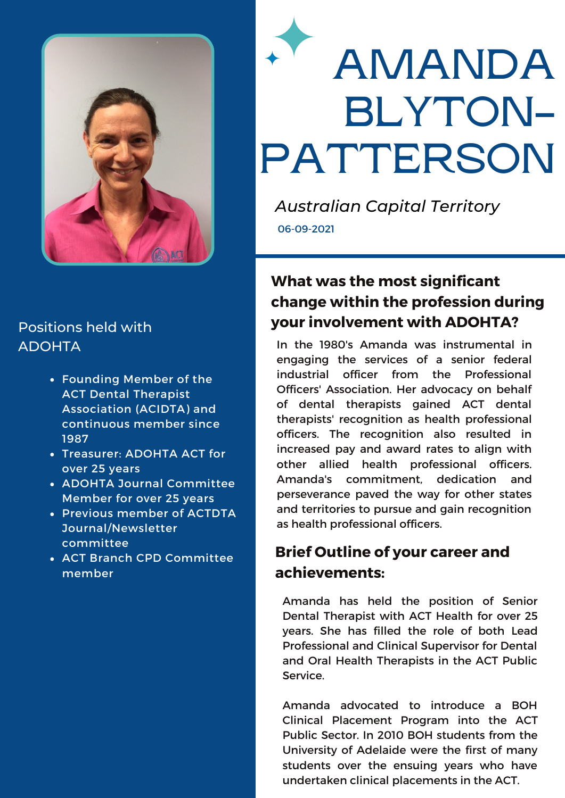

### Positions held with ADOHTA

- Founding Member of the ACT Dental Therapist Association (ACIDTA) and continuous member since 1987
- Treasurer: ADOHTA ACT for over 25 years
- ADOHTA Journal Committee Member for over 25 years
- Previous member of ACTDTA Journal/Newsletter committee
- ACT Branch CPD Committee member

# **AMANDA BLYTON-PATTERSON**

*Australian Capital Territory* 06-09-2021

# **What was the most significant change within the profession during your involvement with ADOHTA?**

In the 1980's Amanda was instrumental in engaging the services of a senior federal industrial officer from the Professional Officers' Association. Her advocacy on behalf of dental therapists gained ACT dental therapists' recognition as health professional officers. The recognition also resulted in increased pay and award rates to align with other allied health professional officers. Amanda's commitment, dedication and perseverance paved the way for other states and territories to pursue and gain recognition as health professional officers.

## **Brief Outline of your career and achievements:**

Amanda has held the position of Senior Dental Therapist with ACT Health for over 25 years. She has filled the role of both Lead Professional and Clinical Supervisor for Dental and Oral Health Therapists in the ACT Public Service.

Amanda advocated to introduce a BOH Clinical Placement Program into the ACT Public Sector. In 2010 BOH students from the University of Adelaide were the first of many students over the ensuing years who have undertaken clinical placements in the ACT.